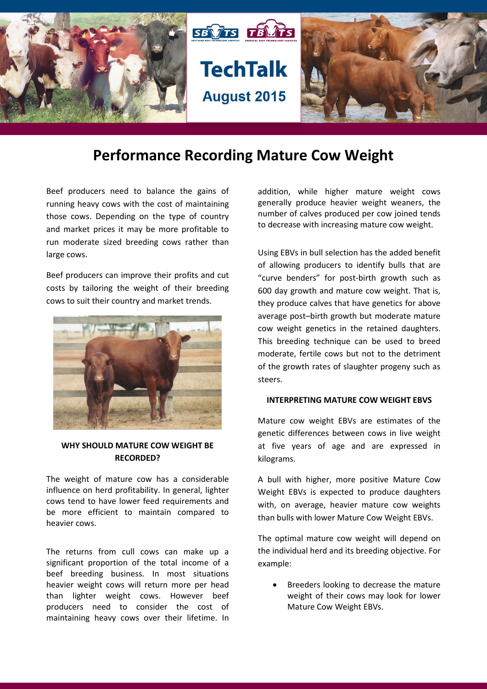

# **Performance Recording Mature Cow Weight**

Beef producers need to balance the gains of running heavy cows with the cost of maintaining those cows. Depending on the type of country and market prices it may be more profitable to run moderate sized breeding cows rather than large cows.

Beef producers can improve their profits and cut costs by tailoring the weight of their breeding cows to suit their country and market trends.



### **WHY SHOULD MATURE COW WEIGHT BE RECORDED?**

The weight of mature cow has a considerable influence on herd profitability. In general, lighter cows tend to have lower feed requirements and be more efficient to maintain compared to heavier cows.

The returns from cull cows can make up a significant proportion of the total income of a beef breeding business. In most situations heavier weight cows will return more per head than lighter weight cows. However beef producers need to consider the cost of maintaining heavy cows over their lifetime. In addition, while higher mature weight cows generally produce heavier weight weaners, the number of calves produced per cow joined tends to decrease with increasing mature cow weight.

Using EBVs in bull selection has the added benefit of allowing producers to identify bulls that are "curve benders" for post-birth growth such as 600 day growth and mature cow weight. That is, they produce calves that have genetics for above average post–birth growth but moderate mature cow weight genetics in the retained daughters. This breeding technique can be used to breed moderate, fertile cows but not to the detriment of the growth rates of slaughter progeny such as steers.

#### **INTERPRETING MATURE COW WEIGHT EBVS**

Mature cow weight EBVs are estimates of the genetic differences between cows in live weight at five years of age and are expressed in kilograms.

A bull with higher, more positive Mature Cow Weight EBVs is expected to produce daughters with, on average, heavier mature cow weights than bulls with lower Mature Cow Weight EBVs.

The optimal mature cow weight will depend on the individual herd and its breeding objective. For example:

 Breeders looking to decrease the mature weight of their cows may look for lower Mature Cow Weight EBVs.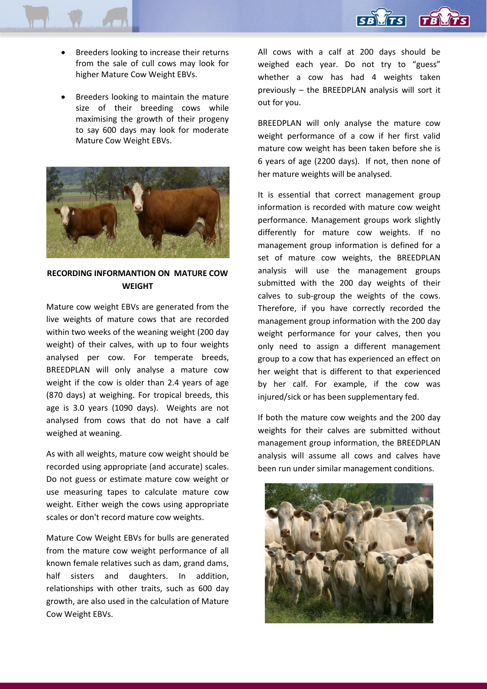

- Breeders looking to increase their returns from the sale of cull cows may look for higher Mature Cow Weight EBVs.
- Breeders looking to maintain the mature size of their breeding cows while maximising the growth of their progeny to say 600 days may look for moderate Mature Cow Weight EBVs.



**RECORDING INFORMANTION ON MATURE COW WEIGHT**

Mature cow weight EBVs are generated from the live weights of mature cows that are recorded within two weeks of the weaning weight (200 day weight) of their calves, with up to four weights analysed per cow. For temperate breeds, BREEDPLAN will only analyse a mature cow weight if the cow is older than 2.4 years of age (870 days) at weighing. For tropical breeds, this age is 3.0 years (1090 days). Weights are not analysed from cows that do not have a calf weighed at weaning.

As with all weights, mature cow weight should be recorded using appropriate (and accurate) scales. Do not guess or estimate mature cow weight or use measuring tapes to calculate mature cow weight. Either weigh the cows using appropriate scales or don't record mature cow weights.

Mature Cow Weight EBVs for bulls are generated from the mature cow weight performance of all known female relatives such as dam, grand dams, half sisters and daughters. In addition, relationships with other traits, such as 600 day growth, are also used in the calculation of Mature Cow Weight EBVs.

All cows with a calf at 200 days should be weighed each year. Do not try to "guess" whether a cow has had 4 weights taken previously – the BREEDPLAN analysis will sort it out for you.

BREEDPLAN will only analyse the mature cow weight performance of a cow if her first valid mature cow weight has been taken before she is 6 years of age (2200 days). If not, then none of her mature weights will be analysed.

It is essential that correct management group information is recorded with mature cow weight performance. Management groups work slightly differently for mature cow weights. If no management group information is defined for a set of mature cow weights, the BREEDPLAN analysis will use the management groups submitted with the 200 day weights of their calves to sub-group the weights of the cows. Therefore, if you have correctly recorded the management group information with the 200 day weight performance for your calves, then you only need to assign a different management group to a cow that has experienced an effect on her weight that is different to that experienced by her calf. For example, if the cow was injured/sick or has been supplementary fed.

If both the mature cow weights and the 200 day weights for their calves are submitted without management group information, the BREEDPLAN analysis will assume all cows and calves have been run under similar management conditions.